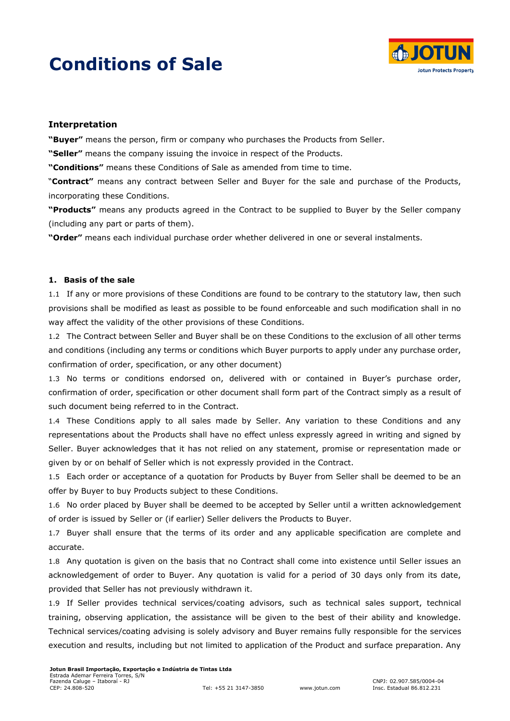# **Conditions of Sale**



## **Interpretation**

**"Buyer"** means the person, firm or company who purchases the Products from Seller.

**"Seller"** means the company issuing the invoice in respect of the Products.

**"Conditions"** means these Conditions of Sale as amended from time to time.

"**Contract"** means any contract between Seller and Buyer for the sale and purchase of the Products, incorporating these Conditions.

**"Products"** means any products agreed in the Contract to be supplied to Buyer by the Seller company (including any part or parts of them).

**"Order"** means each individual purchase order whether delivered in one or several instalments.

## **1. Basis of the sale**

1.1 If any or more provisions of these Conditions are found to be contrary to the statutory law, then such provisions shall be modified as least as possible to be found enforceable and such modification shall in no way affect the validity of the other provisions of these Conditions.

1.2 The Contract between Seller and Buyer shall be on these Conditions to the exclusion of all other terms and conditions (including any terms or conditions which Buyer purports to apply under any purchase order, confirmation of order, specification, or any other document)

1.3 No terms or conditions endorsed on, delivered with or contained in Buyer's purchase order, confirmation of order, specification or other document shall form part of the Contract simply as a result of such document being referred to in the Contract.

1.4 These Conditions apply to all sales made by Seller. Any variation to these Conditions and any representations about the Products shall have no effect unless expressly agreed in writing and signed by Seller. Buyer acknowledges that it has not relied on any statement, promise or representation made or given by or on behalf of Seller which is not expressly provided in the Contract.

1.5 Each order or acceptance of a quotation for Products by Buyer from Seller shall be deemed to be an offer by Buyer to buy Products subject to these Conditions.

1.6 No order placed by Buyer shall be deemed to be accepted by Seller until a written acknowledgement of order is issued by Seller or (if earlier) Seller delivers the Products to Buyer.

1.7 Buyer shall ensure that the terms of its order and any applicable specification are complete and accurate.

1.8 Any quotation is given on the basis that no Contract shall come into existence until Seller issues an acknowledgement of order to Buyer. Any quotation is valid for a period of 30 days only from its date, provided that Seller has not previously withdrawn it.

1.9 If Seller provides technical services/coating advisors, such as technical sales support, technical training, observing application, the assistance will be given to the best of their ability and knowledge. Technical services/coating advising is solely advisory and Buyer remains fully responsible for the services execution and results, including but not limited to application of the Product and surface preparation. Any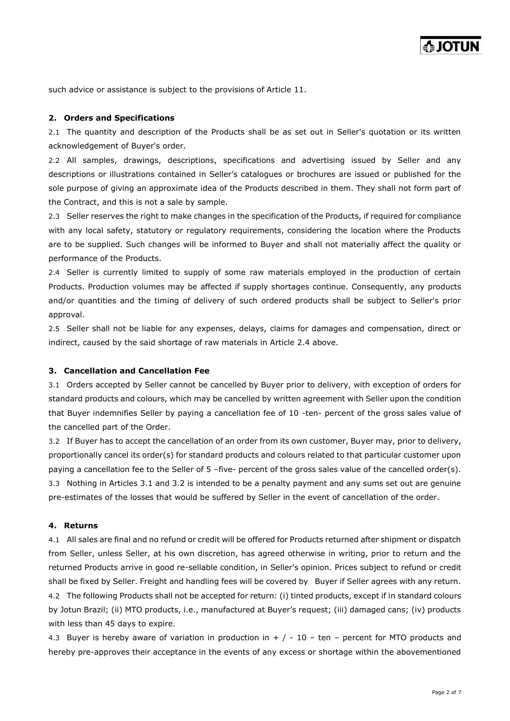such advice or assistance is subject to the provisions of Article 11.

#### **2. Orders and Specifications**

2.1 The quantity and description of the Products shall be as set out in Seller's quotation or its written acknowledgement of Buyer's order.

2.2 All samples, drawings, descriptions, specifications and advertising issued by Seller and any descriptions or illustrations contained in Seller's catalogues or brochures are issued or published for the sole purpose of giving an approximate idea of the Products described in them. They shall not form part of the Contract, and this is not a sale by sample.

2.3 Seller reserves the right to make changes in the specification of the Products, if required for compliance with any local safety, statutory or regulatory requirements, considering the location where the Products are to be supplied. Such changes will be informed to Buyer and shall not materially affect the quality or performance of the Products.

2.4 Seller is currently limited to supply of some raw materials employed in the production of certain Products. Production volumes may be affected if supply shortages continue. Consequently, any products and/or quantities and the timing of delivery of such ordered products shall be subject to Seller's prior approval.

2.5 Seller shall not be liable for any expenses, delays, claims for damages and compensation, direct or indirect, caused by the said shortage of raw materials in Article 2.4 above.

## **3. Cancellation and Cancellation Fee**

3.1 Orders accepted by Seller cannot be cancelled by Buyer prior to delivery, with exception of orders for standard products and colours, which may be cancelled by written agreement with Seller upon the condition that Buyer indemnifies Seller by paying a cancellation fee of 10 -ten- percent of the gross sales value of the cancelled part of the Order.

3.2 If Buyer has to accept the cancellation of an order from its own customer, Buyer may, prior to delivery, proportionally cancel its order(s) for standard products and colours related to that particular customer upon paying a cancellation fee to the Seller of 5 –five- percent of the gross sales value of the cancelled order(s). 3.3 Nothing in Articles 3.1 and 3.2 is intended to be a penalty payment and any sums set out are genuine pre-estimates of the losses that would be suffered by Seller in the event of cancellation of the order.

### **4. Returns**

4.1 All sales are final and no refund or credit will be offered for Products returned after shipment or dispatch from Seller, unless Seller, at his own discretion, has agreed otherwise in writing, prior to return and the returned Products arrive in good re-sellable condition, in Seller's opinion. Prices subject to refund or credit shall be fixed by Seller. Freight and handling fees will be covered by Buyer if Seller agrees with any return. 4.2 The following Products shall not be accepted for return: (i) tinted products, except if in standard colours by Jotun Brazil; (ii) MTO products, i.e., manufactured at Buyer's request; (iii) damaged cans; (iv) products with less than 45 days to expire.

4.3 Buyer is hereby aware of variation in production in  $+$  / - 10 – ten – percent for MTO products and hereby pre-approves their acceptance in the events of any excess or shortage within the abovementioned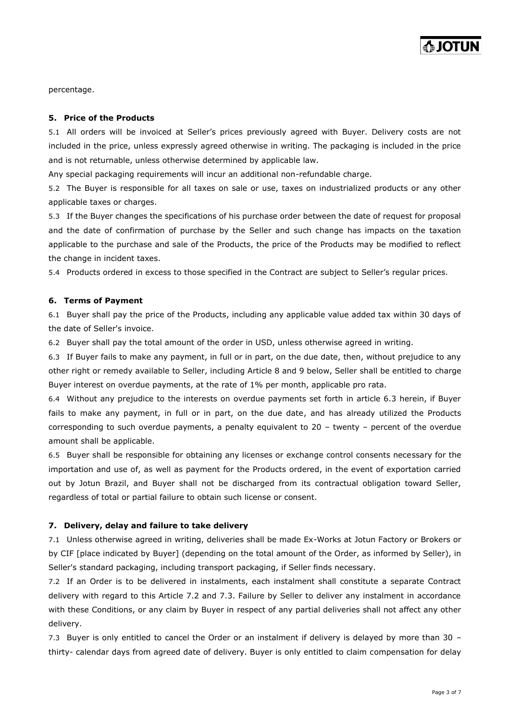percentage.

#### **5. Price of the Products**

5.1 All orders will be invoiced at Seller's prices previously agreed with Buyer. Delivery costs are not included in the price, unless expressly agreed otherwise in writing. The packaging is included in the price and is not returnable, unless otherwise determined by applicable law.

Any special packaging requirements will incur an additional non-refundable charge.

5.2 The Buyer is responsible for all taxes on sale or use, taxes on industrialized products or any other applicable taxes or charges.

5.3 If the Buyer changes the specifications of his purchase order between the date of request for proposal and the date of confirmation of purchase by the Seller and such change has impacts on the taxation applicable to the purchase and sale of the Products, the price of the Products may be modified to reflect the change in incident taxes.

5.4 Products ordered in excess to those specified in the Contract are subject to Seller's regular prices.

#### **6. Terms of Payment**

6.1 Buyer shall pay the price of the Products, including any applicable value added tax within 30 days of the date of Seller's invoice.

6.2 Buyer shall pay the total amount of the order in USD, unless otherwise agreed in writing.

6.3 If Buyer fails to make any payment, in full or in part, on the due date, then, without prejudice to any other right or remedy available to Seller, including Article 8 and 9 below, Seller shall be entitled to charge Buyer interest on overdue payments, at the rate of 1% per month, applicable pro rata.

6.4 Without any prejudice to the interests on overdue payments set forth in article 6.3 herein, if Buyer fails to make any payment, in full or in part, on the due date, and has already utilized the Products corresponding to such overdue payments, a penalty equivalent to 20 – twenty – percent of the overdue amount shall be applicable.

6.5 Buyer shall be responsible for obtaining any licenses or exchange control consents necessary for the importation and use of, as well as payment for the Products ordered, in the event of exportation carried out by Jotun Brazil, and Buyer shall not be discharged from its contractual obligation toward Seller, regardless of total or partial failure to obtain such license or consent.

#### **7. Delivery, delay and failure to take delivery**

7.1 Unless otherwise agreed in writing, deliveries shall be made Ex-Works at Jotun Factory or Brokers or by CIF [place indicated by Buyer] (depending on the total amount of the Order, as informed by Seller), in Seller's standard packaging, including transport packaging, if Seller finds necessary.

7.2 If an Order is to be delivered in instalments, each instalment shall constitute a separate Contract delivery with regard to this Article 7.2 and 7.3. Failure by Seller to deliver any instalment in accordance with these Conditions, or any claim by Buyer in respect of any partial deliveries shall not affect any other delivery.

7.3 Buyer is only entitled to cancel the Order or an instalment if delivery is delayed by more than 30 – thirty- calendar days from agreed date of delivery. Buyer is only entitled to claim compensation for delay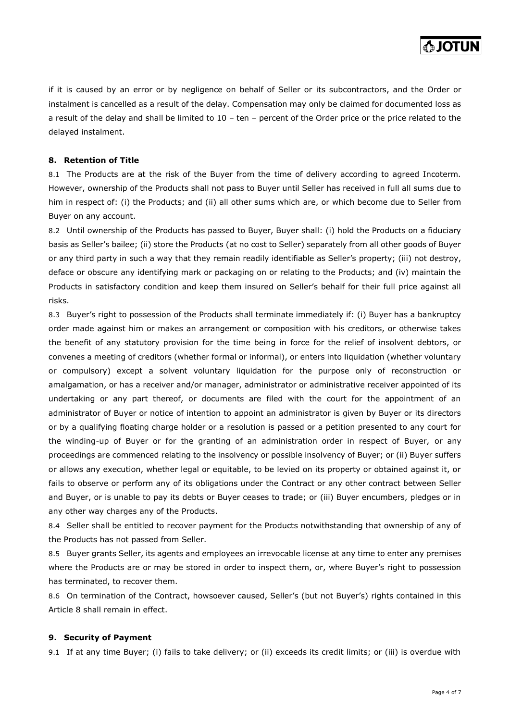if it is caused by an error or by negligence on behalf of Seller or its subcontractors, and the Order or instalment is cancelled as a result of the delay. Compensation may only be claimed for documented loss as a result of the delay and shall be limited to 10 – ten – percent of the Order price or the price related to the delayed instalment.

## **8. Retention of Title**

8.1 The Products are at the risk of the Buyer from the time of delivery according to agreed Incoterm. However, ownership of the Products shall not pass to Buyer until Seller has received in full all sums due to him in respect of: (i) the Products; and (ii) all other sums which are, or which become due to Seller from Buyer on any account.

8.2 Until ownership of the Products has passed to Buyer, Buyer shall: (i) hold the Products on a fiduciary basis as Seller's bailee; (ii) store the Products (at no cost to Seller) separately from all other goods of Buyer or any third party in such a way that they remain readily identifiable as Seller's property; (iii) not destroy, deface or obscure any identifying mark or packaging on or relating to the Products; and (iv) maintain the Products in satisfactory condition and keep them insured on Seller's behalf for their full price against all risks.

8.3 Buyer's right to possession of the Products shall terminate immediately if: (i) Buyer has a bankruptcy order made against him or makes an arrangement or composition with his creditors, or otherwise takes the benefit of any statutory provision for the time being in force for the relief of insolvent debtors, or convenes a meeting of creditors (whether formal or informal), or enters into liquidation (whether voluntary or compulsory) except a solvent voluntary liquidation for the purpose only of reconstruction or amalgamation, or has a receiver and/or manager, administrator or administrative receiver appointed of its undertaking or any part thereof, or documents are filed with the court for the appointment of an administrator of Buyer or notice of intention to appoint an administrator is given by Buyer or its directors or by a qualifying floating charge holder or a resolution is passed or a petition presented to any court for the winding-up of Buyer or for the granting of an administration order in respect of Buyer, or any proceedings are commenced relating to the insolvency or possible insolvency of Buyer; or (ii) Buyer suffers or allows any execution, whether legal or equitable, to be levied on its property or obtained against it, or fails to observe or perform any of its obligations under the Contract or any other contract between Seller and Buyer, or is unable to pay its debts or Buyer ceases to trade; or (iii) Buyer encumbers, pledges or in any other way charges any of the Products.

8.4 Seller shall be entitled to recover payment for the Products notwithstanding that ownership of any of the Products has not passed from Seller.

8.5 Buyer grants Seller, its agents and employees an irrevocable license at any time to enter any premises where the Products are or may be stored in order to inspect them, or, where Buyer's right to possession has terminated, to recover them.

8.6 On termination of the Contract, howsoever caused, Seller's (but not Buyer's) rights contained in this Article 8 shall remain in effect.

#### **9. Security of Payment**

9.1 If at any time Buyer; (i) fails to take delivery; or (ii) exceeds its credit limits; or (iii) is overdue with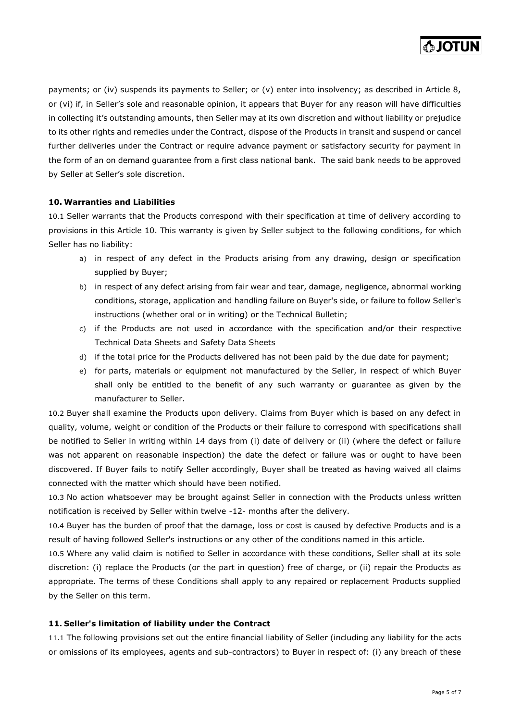

payments; or (iv) suspends its payments to Seller; or (v) enter into insolvency; as described in Article 8, or (vi) if, in Seller's sole and reasonable opinion, it appears that Buyer for any reason will have difficulties in collecting it's outstanding amounts, then Seller may at its own discretion and without liability or prejudice to its other rights and remedies under the Contract, dispose of the Products in transit and suspend or cancel further deliveries under the Contract or require advance payment or satisfactory security for payment in the form of an on demand guarantee from a first class national bank. The said bank needs to be approved by Seller at Seller's sole discretion.

#### **10. Warranties and Liabilities**

10.1 Seller warrants that the Products correspond with their specification at time of delivery according to provisions in this Article 10. This warranty is given by Seller subject to the following conditions, for which Seller has no liability:

- a) in respect of any defect in the Products arising from any drawing, design or specification supplied by Buyer;
- b) in respect of any defect arising from fair wear and tear, damage, negligence, abnormal working conditions, storage, application and handling failure on Buyer's side, or failure to follow Seller's instructions (whether oral or in writing) or the Technical Bulletin;
- c) if the Products are not used in accordance with the specification and/or their respective Technical Data Sheets and Safety Data Sheets
- d) if the total price for the Products delivered has not been paid by the due date for payment;
- e) for parts, materials or equipment not manufactured by the Seller, in respect of which Buyer shall only be entitled to the benefit of any such warranty or guarantee as given by the manufacturer to Seller.

10.2 Buyer shall examine the Products upon delivery. Claims from Buyer which is based on any defect in quality, volume, weight or condition of the Products or their failure to correspond with specifications shall be notified to Seller in writing within 14 days from (i) date of delivery or (ii) (where the defect or failure was not apparent on reasonable inspection) the date the defect or failure was or ought to have been discovered. If Buyer fails to notify Seller accordingly, Buyer shall be treated as having waived all claims connected with the matter which should have been notified.

10.3 No action whatsoever may be brought against Seller in connection with the Products unless written notification is received by Seller within twelve -12- months after the delivery.

10.4 Buyer has the burden of proof that the damage, loss or cost is caused by defective Products and is a result of having followed Seller's instructions or any other of the conditions named in this article.

10.5 Where any valid claim is notified to Seller in accordance with these conditions, Seller shall at its sole discretion: (i) replace the Products (or the part in question) free of charge, or (ii) repair the Products as appropriate. The terms of these Conditions shall apply to any repaired or replacement Products supplied by the Seller on this term.

#### **11. Seller's limitation of liability under the Contract**

11.1 The following provisions set out the entire financial liability of Seller (including any liability for the acts or omissions of its employees, agents and sub-contractors) to Buyer in respect of: (i) any breach of these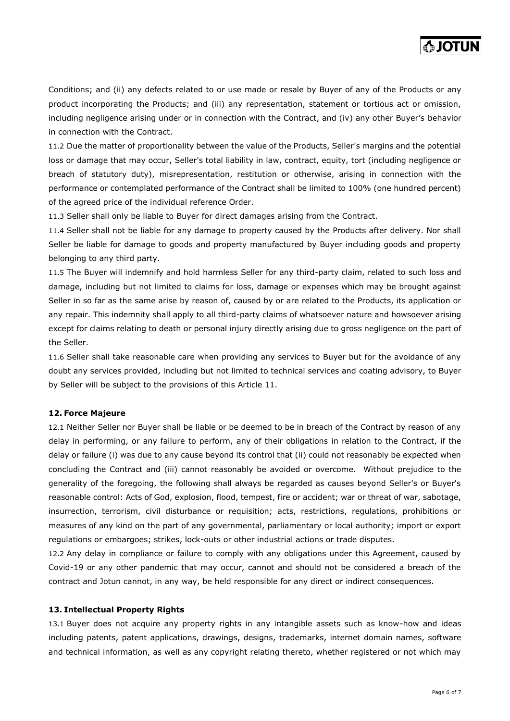

Conditions; and (ii) any defects related to or use made or resale by Buyer of any of the Products or any product incorporating the Products; and (iii) any representation, statement or tortious act or omission, including negligence arising under or in connection with the Contract, and (iv) any other Buyer's behavior in connection with the Contract.

11.2 Due the matter of proportionality between the value of the Products, Seller's margins and the potential loss or damage that may occur, Seller's total liability in law, contract, equity, tort (including negligence or breach of statutory duty), misrepresentation, restitution or otherwise, arising in connection with the performance or contemplated performance of the Contract shall be limited to 100% (one hundred percent) of the agreed price of the individual reference Order.

11.3 Seller shall only be liable to Buyer for direct damages arising from the Contract.

11.4 Seller shall not be liable for any damage to property caused by the Products after delivery. Nor shall Seller be liable for damage to goods and property manufactured by Buyer including goods and property belonging to any third party.

11.5 The Buyer will indemnify and hold harmless Seller for any third-party claim, related to such loss and damage, including but not limited to claims for loss, damage or expenses which may be brought against Seller in so far as the same arise by reason of, caused by or are related to the Products, its application or any repair. This indemnity shall apply to all third-party claims of whatsoever nature and howsoever arising except for claims relating to death or personal injury directly arising due to gross negligence on the part of the Seller.

11.6 Seller shall take reasonable care when providing any services to Buyer but for the avoidance of any doubt any services provided, including but not limited to technical services and coating advisory, to Buyer by Seller will be subject to the provisions of this Article 11.

#### **12. Force Majeure**

12.1 Neither Seller nor Buyer shall be liable or be deemed to be in breach of the Contract by reason of any delay in performing, or any failure to perform, any of their obligations in relation to the Contract, if the delay or failure (i) was due to any cause beyond its control that (ii) could not reasonably be expected when concluding the Contract and (iii) cannot reasonably be avoided or overcome. Without prejudice to the generality of the foregoing, the following shall always be regarded as causes beyond Seller's or Buyer's reasonable control: Acts of God, explosion, flood, tempest, fire or accident; war or threat of war, sabotage, insurrection, terrorism, civil disturbance or requisition; acts, restrictions, regulations, prohibitions or measures of any kind on the part of any governmental, parliamentary or local authority; import or export regulations or embargoes; strikes, lock-outs or other industrial actions or trade disputes.

12.2 Any delay in compliance or failure to comply with any obligations under this Agreement, caused by Covid-19 or any other pandemic that may occur, cannot and should not be considered a breach of the contract and Jotun cannot, in any way, be held responsible for any direct or indirect consequences.

#### **13. Intellectual Property Rights**

13.1 Buyer does not acquire any property rights in any intangible assets such as know-how and ideas including patents, patent applications, drawings, designs, trademarks, internet domain names, software and technical information, as well as any copyright relating thereto, whether registered or not which may